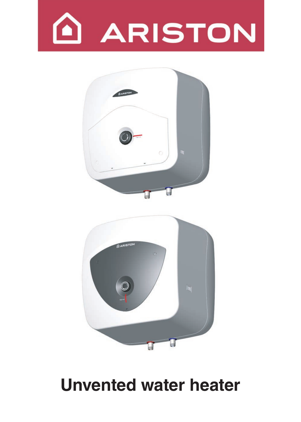



# **Unvented water heater Unvented water heater**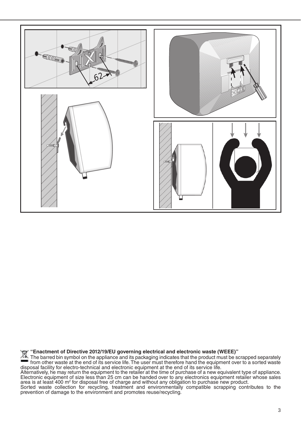

Enactment of Directive 2012/19/EU governing electrical and electronic waste (WEEE)"

The barred bin symbol on the appliance and its packaging indicates that the product must be scrapped separately<br>from other waste at the end of its service life. The user must therefore hand the equipment over to a sorted w disposal facility for electro-technical and electronic equipment at the end of its service life.

Alternatively, he may return the equipment to the retailer at the time of purchase of a new equivalent type of appliance.<br>Electronic equipment of size less than 25 cm can be handed over to any electronics equipment retaile area is at least 400 m<sup>2</sup> for disposal free of charge and without any obligation to purchase new product.

Sorted waste collection for recycling, treatment and environmentally compatible scrapping contributes to the prevention of damage to the environment and promotes reuse/recycling.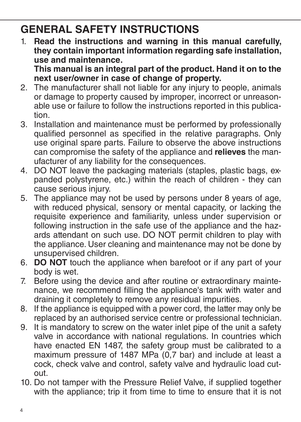## **GENERAL SAFETY INSTRUCTIONS**

1. **Read the instructions and warning in this manual carefully, they contain important information regarding safe installation, use and maintenance.** 

**This manual is an integral part of the product. Hand it on to the next user/owner in case of change of property.**

- 2. The manufacturer shall not liable for any injury to people, animals or damage to property caused by improper, incorrect or unreasonable use or failure to follow the instructions reported in this publication.
- 3. Installation and maintenance must be performed by professionally qualified personnel as specified in the relative paragraphs. Only use original spare parts. Failure to observe the above instructions can compromise the safety of the appliance and **relieves** the manufacturer of any liability for the consequences.
- 4. DO NOT leave the packaging materials (staples, plastic bags, expanded polystyrene, etc.) within the reach of children - they can cause serious injury.
- 5. The appliance may not be used by persons under 8 years of age, with reduced physical, sensory or mental capacity, or lacking the requisite experience and familiarity, unless under supervision or following instruction in the safe use of the appliance and the hazards attendant on such use. DO NOT permit children to play with the appliance. User cleaning and maintenance may not be done by unsupervised children.
- 6. **DO NOT** touch the appliance when barefoot or if any part of your body is wet.
- 7. Before using the device and after routine or extraordinary maintenance, we recommend filling the appliance's tank with water and draining it completely to remove any residual impurities.
- 8. If the appliance is equipped with a power cord, the latter may only be replaced by an authorised service centre or professional technician.
- 9. It is mandatory to screw on the water inlet pipe of the unit a safety valve in accordance with national regulations. In countries which have enacted EN 1487, the safety group must be calibrated to a maximum pressure of 1487 MPa (0,7 bar) and include at least a cock, check valve and control, safety valve and hydraulic load cutout.
- 10. Do not tamper with the Pressure Relief Valve, if supplied together with the appliance; trip it from time to time to ensure that it is not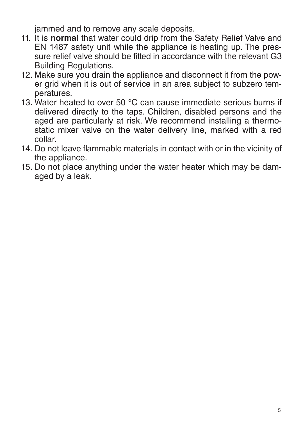jammed and to remove any scale deposits.

- 11. It is **normal** that water could drip from the Safety Relief Valve and EN 1487 safety unit while the appliance is heating up. The pressure relief valve should be fitted in accordance with the relevant G3 Building Regulations.
- 12. Make sure you drain the appliance and disconnect it from the power grid when it is out of service in an area subject to subzero temperatures.
- 13. Water heated to over 50 °C can cause immediate serious burns if delivered directly to the taps. Children, disabled persons and the aged are particularly at risk. We recommend installing a thermostatic mixer valve on the water delivery line, marked with a red collar.
- 14. Do not leave flammable materials in contact with or in the vicinity of the appliance.
- 15. Do not place anything under the water heater which may be damaged by a leak.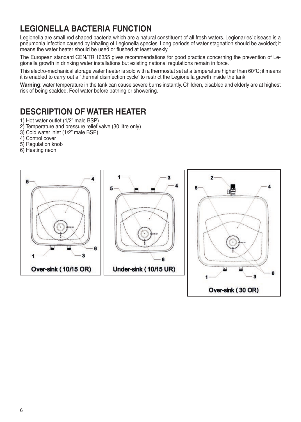### **LEGIONELLA BACTERIA FUNCTION**

Legionella are small rod shaped bacteria which are a natural constituent of all fresh waters. Legionaries' disease is a pneumonia infection caused by inhaling of Legionella species. Long periods of water stagnation should be avoided; it means the water heater should be used or flushed at least weekly.

The European standard CEN/TR 16355 gives recommendations for good practice concerning the prevention of Legionella growth in drinking water installations but existing national regulations remain in force.

This electro-mechanical storage water heater is sold with a thermostat set at a temperature higher than 60°C; it means it is enabled to carry out a "thermal disinfection cycle" to restrict the Legionella growth inside the tank.

**Warning**: water temperature in the tank can cause severe burns instantly. Children, disabled and elderly are at highest risk of being scalded. Feel water before bathing or showering.

### **DESCRIPTION OF WATER HEATER**

- 1) Hot water outlet (1/2" male BSP)
- 2) Temperature and pressure relief valve (30 litre only)
- 3) Cold water inlet (1/2" male BSP)
- 4) Control cover<br>E
- 5) Regulation knob
- 6) Heating neon

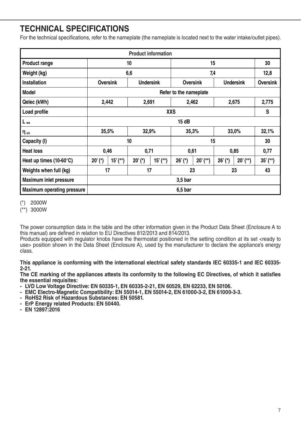### **TECHNICAL SPECIFICATIONS**

For the technical specifications, refer to the nameplate (the nameplate is located next to the water intake/outlet pipes).

| <b>Product information</b>        |                        |            |                  |          |           |           |                  |            |                 |
|-----------------------------------|------------------------|------------|------------------|----------|-----------|-----------|------------------|------------|-----------------|
| Product range                     | 10                     |            |                  | 15       |           |           | 30               |            |                 |
| Weight (kg)                       | 6,6                    |            |                  | 7,4      |           |           | 12,8             |            |                 |
| Installation                      | <b>Oversink</b>        |            | <b>Undersink</b> |          | Oversink  |           | <b>Undersink</b> |            | <b>Oversink</b> |
| Model                             | Refer to the nameplate |            |                  |          |           |           |                  |            |                 |
| Qelec (kWh)                       | 2,442                  |            | 2,691            |          | 2,462     |           | 2,675            |            | 2,775           |
| Load profile                      | <b>XXS</b>             |            |                  |          |           | S         |                  |            |                 |
| $L_{wa}$                          | 15 dB                  |            |                  |          |           |           |                  |            |                 |
| $\eta_{wh}$                       | 35,5%                  |            | 32,9%            |          | 35,3%     |           | 33,0%            |            | 32,1%           |
| Capacity (I)                      | 10                     |            |                  | 15       |           |           | 30               |            |                 |
| <b>Heat loss</b>                  | 0.46                   |            | 0,71             |          | 0,61      |           | 0.85             |            | 0,77            |
| Heat up times $(10-60^{\circ}C)$  | $20'$ (*)              | $15'$ (**) | $20'$ (*)        | $15'(*)$ | $26'$ (*) | $20'(**)$ | $26'$ (*)        | $20'$ (**) | $35'(*)$        |
| Weights when full (kg)            | 17                     |            | 17               |          | 23        |           | 23               |            | 43              |
| <b>Maximum inlet pressure</b>     | 3,5 bar                |            |                  |          |           |           |                  |            |                 |
| <b>Maximum operating pressure</b> | 6,5 bar                |            |                  |          |           |           |                  |            |                 |

- (\*) 2000W
- (\*\*) 3000W

The power consumption data in the table and the other information given in the Product Data Sheet (Enclosure A to this manual) are defined in relation to EU Directives 812/2013 and 814/2013.

Products equipped with regulator knobs have the thermostat positioned in the setting condition at its set <ready to use> position shown in the Data Sheet (Enclosure A), used by the manufacturer to declare the appliance's energy class.

**This appliance is conforming with the international electrical safety standards IEC 60335-1 and IEC 60335- 2-21.**

**The CE marking of the appliances attests its conformity to the following EC Directives, of which it satisfies the essential requisites:**

- **LVD Low Voltage Directive: EN 60335-1, EN 60335-2-21, EN 60529, EN 62233, EN 50106.**
- **EMC Electro-Magnetic Compatibility: EN 55014-1, EN 55014-2, EN 61000-3-2, EN 61000-3-3.**
- **RoHS2 Risk of Hazardous Substances: EN 50581.**
- **ErP Energy related Products: EN 50440.**
- **EN 12897:2016**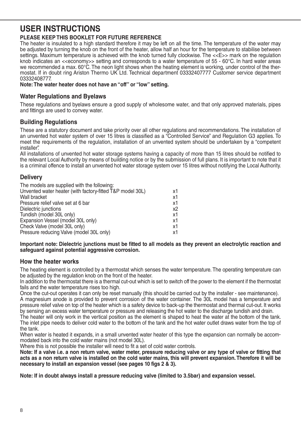### **USER INSTRUCTIONS**

#### **PLEASE KEEP THIS BOOKLET FOR FUTURE REFERENCE**

The heater is insulated to a high standard therefore it may be left on all the time. The temperature of the water may be adjusted by turning the knob on the front of the heater, allow half an hour for the temperature to stabilise between settings. Maximum temperature is achieved with the knob turned fully clockwise. The <<E>> mark on the regulation knob indicates an <<economy>> setting and corresponds to a water temperature of 55 - 60°C. In hard water areas we recommended a max. 60°C. The neon light shows when the heating element is working, under control of the thermostat. If in doubt ring Ariston Thermo UK Ltd. Technical department 03332407777 Customer service department 03332408777.

**Note: The water heater does not have an "off" or "low" setting.**

#### **Water Regulations and Byelaws**

These regulations and byelaws ensure a good supply of wholesome water, and that only approved materials, pipes and fittings are used to convey water.

#### **Building Regulations**

These are a statutory document and take priority over all other regulations and recommendations. The installation of an unvented hot water system of over 15 litres is classified as a "Controlled Service" and Regulation G3 applies. To meet the requirements of the regulation, installation of an unvented system should be undertaken by a "competent installer".

All installations of unvented hot water storage systems having a capacity of more than 15 litres should be notified to the relevant Local Authority by means of building notice or by the submission of full plans. It is important to note that it is a criminal offence to install an unvented hot water storage system over 15 litres without notifying the Local Authority.

#### **Delivery**

| The models are supplied with the following:               |    |
|-----------------------------------------------------------|----|
| Unvented water heater (with factory-fitted T&P model 30L) | x1 |
| Wall bracket                                              | x1 |
| Pressure relief valve set at 6 bar                        | x1 |
| Dielectric junctions                                      | x2 |
| Tundish (model 30L only)                                  | x1 |
| Expansion Vessel (model 30L only)                         | x1 |
| Check Valve (model 30L only)                              | x1 |
| Pressure reducing Valve (model 30L only)                  | x1 |

**Important note: Dielectric junctions must be fitted to all models as they prevent an electrolytic reaction and safeguard against potential aggressive corrosion.**

#### **How the heater works**

The heating element is controlled by a thermostat which senses the water temperature. The operating temperature can be adjusted by the regulation knob on the front of the heater.

In addition to the thermostat there is a thermal cut-out which is set to switch off the power to the element if the thermostat fails and the water temperature rises too high.

Once the cut-out operates it can only be reset manually (this should be carried out by the installer - see maintenance). A magnesium anode is provided to prevent corrosion of the water container. The 30L model has a temperature and pressure relief valve on top of the heater which is a safety device to back-up the thermostat and thermal cut-out. It works by sensing an excess water temperature or pressure and releasing the hot water to the discharge tundish and drain.

The heater will only work in the vertical position as the element is shaped to heat the water at the bottom of the tank. The inlet pipe needs to deliver cold water to the bottom of the tank and the hot water outlet draws water from the top of the tank.

When water is heated it expands, in a small unvented water heater of this type the expansion can normally be accommodated back into the cold water mains (not model 30L).

Where this is not possible the installer will need to fit a set of cold water controls.

**Note: If a valve i.e. a non return valve, water meter, pressure reducing valve or any type of valve or fitting that acts as a non return valve is installed on the cold water mains, this will prevent expansion. Therefore it will be necessary to install an expansion vessel (see pages 10 figs 2 & 3).**

**Note: If in doubt always install a pressure reducing valve (limited to 3.5bar) and expansion vessel.**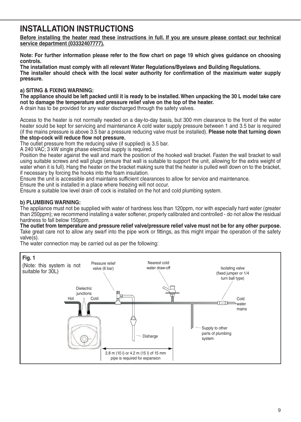### **INSTALLATION INSTRUCTIONS**

**Before installing the heater read these instructions in full. If you are unsure please contact our technical service department (03332407777).** 

**Note: For further information please refer to the flow chart on page 19 which gives guidance on choosing controls.**

**The installation must comply with all relevant Water Regulations/Byelaws and Building Regulations. The installer should check with the local water authority for confirmation of the maximum water supply pressure.**

#### **a) SITING & FIXING WARNING:**

**The appliance should be left packed until it is ready to be installed. When unpacking the 30 L model take care not to damage the temperature and pressure relief valve on the top of the heater.**

A drain has to be provided for any water discharged through the safety valves.

Access to the heater is not normally needed on a day-to-day basis, but 300 mm clearance to the front of the water heater sould be kept for servicing and maintenance A cold water supply pressure between 1 and 3.5 bar is required (if the mains pressure is above 3.5 bar a pressure reducing valve must be installed). **Please note that turning down the stop-cock will reduce flow not pressure.**

The outlet pressure from the reducing valve (if supplied) is 3.5 bar.

A 240 VAC; 3 kW single phase electrical supply is required.

Position the heater against the wall and mark the position of the hooked wall bracket. Fasten the wall bracket to wall using suitable screws and wall plugs (ensure that wall is suitable to support the unit, allowing for the extra weight of water when it is full). Hang the heater on the bracket making sure that the heater is pulled well down on to the bracket, if necessary by forcing the hooks into the foam insulation.

Ensure the unit is accessible and maintains sufficient clearances to allow for service and maintenance.

Ensure the unit is installed in a place where freezing will not occur.

Ensure a suitable low level drain off cock is installed on the hot and cold plumbing system.

#### **b) PLUMBING WARNING:**

The appliance must not be supplied with water of hardness less than 120ppm, nor with especially hard water (greater than 250ppm); we recommend installing a water softener, properly calibrated and controlled - do not allow the residual hardness to fall below 150ppm.

**The outlet from temperature and pressure relief valve/pressure relief valve must not be for any other purpose.** Take great care not to allow any swarf into the pipe work or fittings, as this might impair the operation of the safety valve(s).

The water connection may be carried out as per the following:

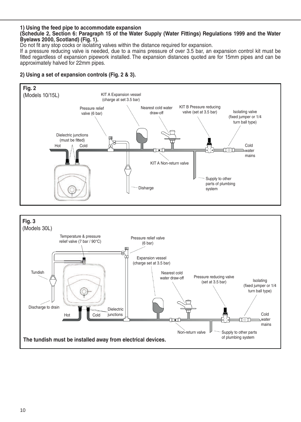#### **1) Using the feed pipe to accommodate expansion**

#### **(Schedule 2, Section 6: Paragraph 15 of the Water Supply (Water Fittings) Regulations 1999 and the Water Byelaws 2000, Scotland) (Fig. 1).**

Do not fit any stop cocks or isolating valves within the distance required for expansion.

If a pressure reducing valve is needed, due to a mains pressure of over 3.5 bar, an expansion control kit must be fitted regardless of expansion pipework installed. The expansion distances quoted are for 15mm pipes and can be approximately halved for 22mm pipes.

#### **2) Using a set of expansion controls (Fig. 2 & 3).**

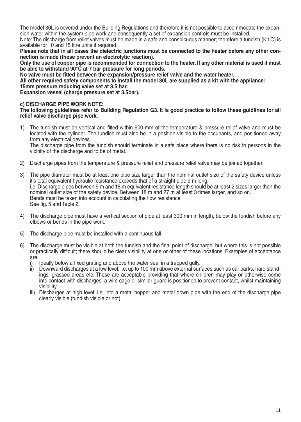The model 30L is covered under the Building Regulations and therefore it is not possible to accommodate the expansion water within the system pipe work and consequently a set of expansion controls must be installed. Note: The discharge from relief valves must be made in a safe and conspicuous manner; therefore a tundish (Kit C) is available for 10 and 15 litre units if required.

**Please note that in all cases the dielectric junctions must be connected to the heater before any other connection is made (these prevent an electrolytic reaction).**

**Only the use of copper pipe is recommended for connection to the heater. If any other material is used it must be able to withstand 90°C at 7 bar pressure for long periods.**

**No valve must be fitted between the expansion/pressure relief valve and the water heater.**

**All other required safety components to install the model 30L are supplied as a kit with the appliance: 15mm pressure reducing valve set at 3.5 bar.**

**Expansion vessel (charge pressure set at 3.5bar).**

#### **c) DISCHARGE PIPE WORK NOTE:**

**The following guidelines refer to Building Regulation G3. It is good practice to follow these guidlines for all relief valve discharge pipe work.**

1) The tundish must be vertical and fitted within 600 mm of the temperature & pressure relief valve and must be located with the cylinder. The tundish must also be in a position visible to the occupants, and positioned away from any electrical devices.

The discharge pipe from the tundish should terminate in a safe place where there is no risk to persons in the vicinity of the discharge and to be of metal.

- 2) Discharge pipes from the temperature & pressure relief and pressure relief valve may be joined together.
- 3) The pipe diameter must be at least one pipe size larger than the nominal outlet size of the safety device unless it's total equivalent hydraulic resistance exceeds that of a straight pipe 9 m long. i.e. Discharge pipes between 9 m and 18 m equivalent resistance length should be at least 2 sizes larger than the nominal outlet size of the safety device. Between 18 m and 27 m at least 3 times larger, and so on. Bends must be taken into account in calculating the flow resistance. See fig. 5 and Table 2.
- 4) The discharge pipe must have a vertical section of pipe at least 300 mm in length, below the tundish before any elbows or bends in the pipe work.
- 5) The discharge pipe must be installed with a continuous fall.
- 6) The discharge must be visible at both the tundish and the final point of discharge, but where this is not possible or practically difficult; there should be clear visibility at one or other of these locations. Examples of acceptance are:
	- i) Ideally below a fixed grating and above the water seal in a trapped gully.
	- ii) Downward discharges at a low level; i.e. up to 100 mm above external surfaces such as car parks, hard standings, grassed areas etc. These are acceptable providing that where children may play or otherwise come into contact with discharges, a wire cage or similar guard is positioned to prevent contact, whilst maintaining visibility.
	- iii) Discharges at high level; i.e. into a metal hopper and metal down pipe with the end of the discharge pipe clearly visible (tundish visible or not).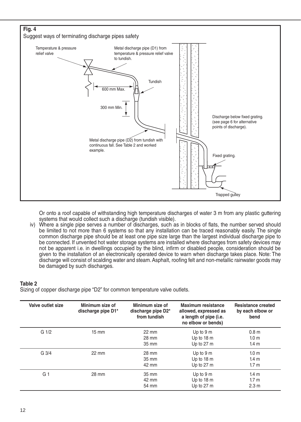

Or onto a roof capable of withstanding high temperature discharges of water 3 m from any plastic guttering systems that would collect such a discharge (tundish visible).

iv) Where a single pipe serves a number of discharges, such as in blocks of flats, the number served should be limited to not more than 6 systems so that any installation can be traced reasonably easily. The single common discharge pipe should be at least one pipe size large than the largest individual discharge pipe to be connected. If unvented hot water storage systems are installed where discharges from safety devices may not be apparent i.e. in dwellings occupied by the blind, infirm or disabled people, consideration should be given to the installation of an electronically operated device to warn when discharge takes place. Note: The discharge will consist of scalding water and steam. Asphalt, roofing felt and non-metallic rainwater goods may be damaged by such discharges.

#### **Table 2**

Sizing of copper discharge pipe "D2" for common temperature valve outlets.

| Valve outlet size | Minimum size of<br>discharge pipe D1* | Minimum size of<br>discharge pipe D2*<br>from tundish | Maximum resistance<br>allowed, expressed as<br>a length of pipe (i.e.<br>no elbow or bends) | <b>Resistance created</b><br>by each elbow or<br>bend |
|-------------------|---------------------------------------|-------------------------------------------------------|---------------------------------------------------------------------------------------------|-------------------------------------------------------|
| G <sub>1/2</sub>  | $15 \text{ mm}$                       | 22 mm                                                 | Up to 9 m                                                                                   | 0.8 <sub>m</sub>                                      |
|                   |                                       | 28 mm                                                 | Up to 18 m                                                                                  | 1.0 <sub>m</sub>                                      |
|                   |                                       | $35 \text{ mm}$                                       | Up to 27 m                                                                                  | 1.4 <sub>m</sub>                                      |
| $G \frac{3}{4}$   | $22 \text{ mm}$                       | 28 mm                                                 | Up to 9 m                                                                                   | 1.0 <sub>m</sub>                                      |
|                   |                                       | $35 \text{ mm}$                                       | Up to 18 m                                                                                  | 1.4 <sub>m</sub>                                      |
|                   |                                       | 42 mm                                                 | Up to 27 m                                                                                  | 1.7 <sub>m</sub>                                      |
| G <sub>1</sub>    | 28 mm                                 | 35 mm                                                 | Up to 9 m                                                                                   | 1.4 <sub>m</sub>                                      |
|                   |                                       | 42 mm                                                 | Up to 18 m                                                                                  | 1.7 <sub>m</sub>                                      |
|                   |                                       | 54 mm                                                 | Up to 27 m                                                                                  | 2.3 <sub>m</sub>                                      |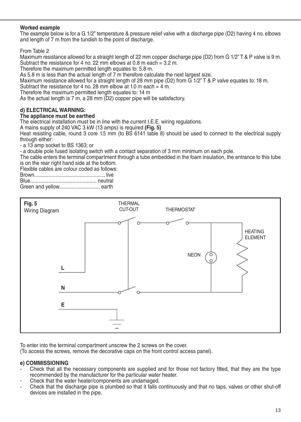#### **Worked example**

The example below is for a G 1/2" temperature & pressure relief valve with a discharge pipe (D2) having 4 no. elbows and length of 7 m from the tundish to the point of discharge.

From Table 2

Maximum resistance allowed for a straight length of 22 mm copper discharge pipe (D2) from G 1/2" T & P valve is 9 m. Subtract the resistance for 4 no. 22 mm elbows at 0.8 m each = 3.2 m.

Therefore the maximum permitted length equates to: 5.8 m.

As 5.8 m is less than the actual length of 7 m therefore calculate the next largest size.

As 5.8 m is iess than the actual length of 7 m therefore calculate the hext largest size.<br>Maximum resistance allowed for a straight length of 28 mm pipe (D2) from G 1/2"T & P valve equates to: 18 m.

Subtract the resistance for 4 no. 28 mm elbow at 1.0 m each = 4 m.

Therefore the maximum permitted length equates to: 14 m

As the actual length is 7 m, a 28 mm (D2) copper pipe will be satisfactory.

#### d) ELECTRICAL WARNING:

#### The appliance must be earthed **and a contact separation with a contact separation of 3 mm minimum on 3 mm minimum o**

The electrical installation must be in line with the current I.E.E. wiring regulations.

A mains supply of 240 VAC 3 kW (13 amps) is required **(Fig. 5)**

Heat resisting cable, round 3 core 1.5 mm (to BS 6141 table 8) should be used to connect to the electrical supply through either: incluyn enner.<br>- a 13 amp socket to BS 1363; or

- a double pole fused isolating switch with a contact separation of 3 mm minimum on each pole.

The cable enters the terminal compartment through a tube embedded in the foam insulation, the entrance to this tube is on the rear right hand side at the bottom.

is on the rear right nand side at the bottom.<br>Flexible cables are colour coded as follows:

| Green and yellow earth |  |
|------------------------|--|



To enter into the terminal compartment unscrew the 2 screws on the cover.<br>To ecoses the serous remove the decerative cape on the frant control ecoses panel).

(To access the screws, remove the decorative caps on the front control access panel). (To access the screws, remove the decorative caps on the front control access panel).

#### **e) COMMISSIONING**

- Check that all the necessary components are supplied and for those not factory fitted, that they are the type recommended by the manufacturer for the particular water heater.
- Check that the water heater/components are undamaged.
- Check that the water heater/components are undamaged.<br>- Check that the discharge pipe is plumbed so that it falls continuously and that no taps, valves or other shut-off devices are installed in the pipe. fit are theorem by the type recommended by that it has commitationsly and that no taps, valves or other share on<br>re-installed in the nine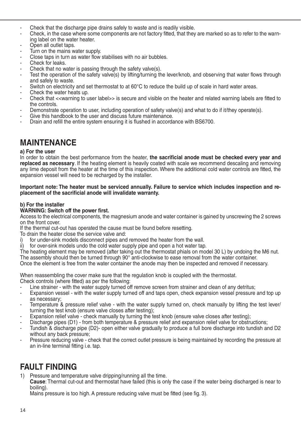- Check that the discharge pipe drains safely to waste and is readily visible.
- Check, in the case where some components are not factory fitted, that they are marked so as to refer to the warning label on the water heater.
- Open all outlet taps.
- Turn on the mains water supply.
- Close taps in turn as water flow stabilises with no air bubbles.
- Check for leaks.
- Check that no water is passing through the safety valve(s).
- Test the operation of the safety valve(s) by lifting/turning the lever/knob, and observing that water flows through and safely to waste.
- Switch on electricity and set thermostat to at 60°C to reduce the build up of scale in hard water areas.
- Check the water heats up.
- Check that <<warning to user label>> is secure and visible on the heater and related warning labels are fitted to the controls.
- Demonstrate operation to user, including operation of safety valve(s) and what to do if it/they operate(s).
- Give this handbook to the user and discuss future maintenance.
- Drain and refill the entire system ensuring it is flushed in accordance with BS6700.

### **MAINTENANCE**

#### **a) For the user**

In order to obtain the best performance from the heater, the sacrificial anode must be checked every year and **replaced as necessary**. If the heating element is heavily coated with scale we recommend descaling and removing any lime deposit from the heater at the time of this inspection. Where the additional cold water controls are fitted, the expansion vessel will need to be recharged by the installer.

#### **Important note: The heater must be serviced annually. Failure to service which includes inspection and replacement of the sacrificial anode will invalidate warranty.**

#### **b) For the installer**

#### **WARNING: Switch off the power first.**

Access to the electrical components, the magnesium anode and water container is gained by unscrewing the 2 screws on the front cover.

If the thermal cut-out has operated the cause must be found before resetting.

- To drain the heater close the service valve and:
- for under-sink models disconnect pipes and removed the heater from the wall.
- ii) for over-sink models undo the cold water supply pipe and open a hot water tap.

The heating element may be removed (after taking out the thermostat phials on model 30 L) by undoing the M6 nut. The assembly should then be turned through 90° anti-clockwise to ease removal from the water container.

Once the element is free from the water container the anode may then be inspected and removed if necessary.

When reassembling the cover make sure that the regulation knob is coupled with the thermostat. Check controls (where fitted) as per the following:

- Line strainer with the water supply turned off remove screen from strainer and clean of any detritus;
- Expansion vessel with the water supply turned off and taps open, check expansion vessel pressure and top up as necessary;
- Temperature & pressure relief valve with the water supply turned on, check manually by lifting the test lever/ turning the test knob (ensure valve closes after testing);
- Expansion relief valve check manually by turning the test knob (ensure valve closes after testing);
- Discharge pipes (D1) from both temperature & pressure relief and expansion relief valve for obstructions;
- Tundish & discharge pipe (D2)- open either valve gradually to produce a full bore discharge into tundish and D2 without any back pressure;
- Pressure reducing valve check that the correct outlet pressure is being maintained by recording the pressure at an in-line terminal fitting i.e. tap.

### **FAULT FINDING**

1) Pressure and temperature valve dripping/running all the time.

**Cause**: Thermal cut-out and thermostat have failed (this is only the case if the water being discharged is near to boiling).

Mains pressure is too high. A pressure reducing valve must be fitted (see fig. 3).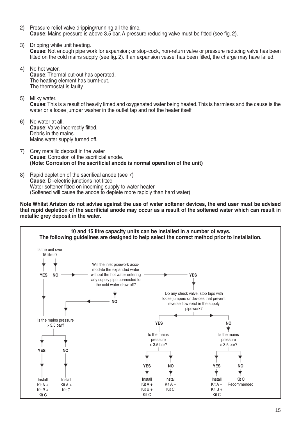- 2) Pressure relief valve dripping/running all the time. **Cause**: Mains pressure is above 3.5 bar. A pressure reducing valve must be fitted (see fig. 2).
- 3) Dripping while unit heating. **Cause**: Not enough pipe work for expansion; or stop-cock, non-return valve or pressure reducing valve has been fitted on the cold mains supply (see fig. 2). If an expansion vessel has been fitted, the charge may have failed.
- 4) No hot water. **Cause**: Thermal cut-out has operated. The heating element has burnt-out. The thermostat is faulty.
- 5) Milky water. Cause: This is a result of heavily limed and oxygenated water being heated. This is harmless and the cause is the water or a loose jumper washer in the outlet tap and not the heater itself.
- 6) No water at all. **Cause**: Valve incorrectly fitted. **Debris in the mains.**<br>Debris in the mains. Mains water supply turned off. **(Note: Corrosion of the sacrificial anode is normal operation of the unit)**
- 7) Grey metallic deposit in the water **Cause**: Corrosion of the sacrificial anode.<br>**Cause**: Corrosion of the sacrificial anode. **(Note: Corrosion of the sacrificial anode is normal operation of the unit)**
- 8) Rapid depletion of the sacrifical anode (see 7) **Cause**: Di-electric junctions not fitted **Cause**: Di-electric junctions not nited<br>Water softener fitted on incoming supply to water heater **exact softened will cause the anode to deplete more rapidly than hard water) occur as a result of the softened water which can result in metallic grey deposit**

**Note Whilst Ariston do not advise against the use of water softener devices, the end user must be advised in the water. that rapid depletion of the sacrificial anode may occur as a result of the softened water which can result in metallic grey deposit in the water.**